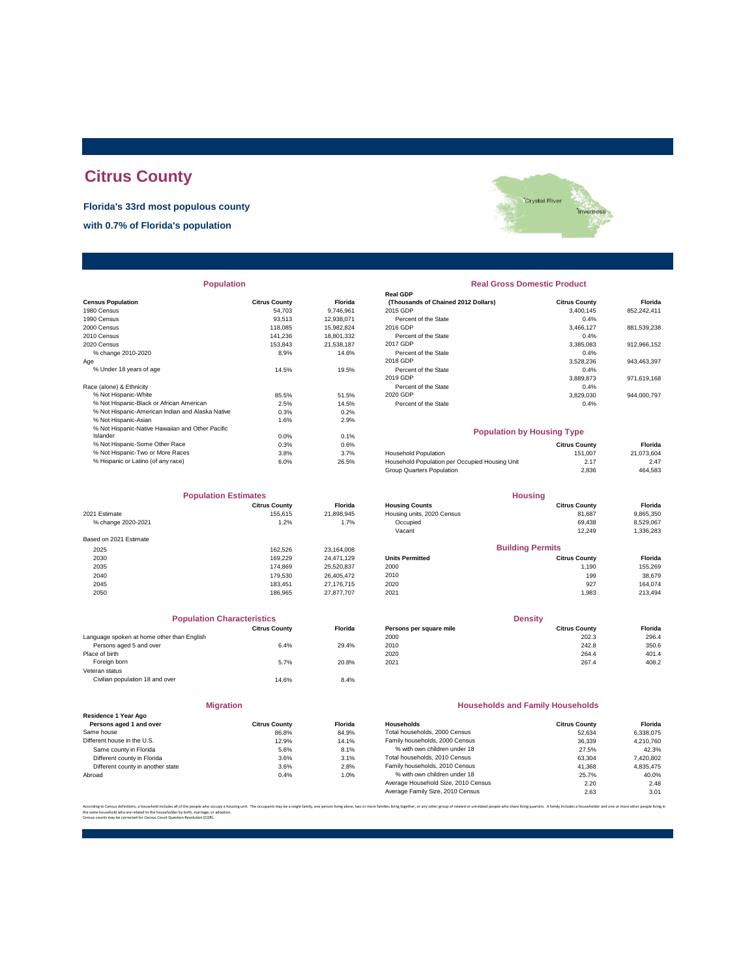# **Citrus County**

**Florida's 33rd most populous county**

**with 0.7% of Florida's population**



| <b>Population</b>                                |                      |                | <b>Real Gross Domestic Product</b>  |                                   |             |  |
|--------------------------------------------------|----------------------|----------------|-------------------------------------|-----------------------------------|-------------|--|
|                                                  |                      |                | <b>Real GDP</b>                     |                                   |             |  |
| <b>Census Population</b>                         | <b>Citrus County</b> | <b>Florida</b> | (Thousands of Chained 2012 Dollars) | <b>Citrus County</b>              | Florida     |  |
| 1980 Census                                      | 54,703               | 9,746,961      | 2015 GDP                            | 3,400,145                         | 852,242,411 |  |
| 1990 Census                                      | 93,513               | 12,938,071     | Percent of the State                | 0.4%                              |             |  |
| 2000 Census                                      | 118,085              | 15.982.824     | 2016 GDP                            | 3.466.127                         | 881.539.238 |  |
| 2010 Census                                      | 141,236              | 18,801,332     | Percent of the State                | 0.4%                              |             |  |
| 2020 Census                                      | 153.843              | 21,538,187     | 2017 GDP                            | 3,385,083                         | 912,966,152 |  |
| % change 2010-2020                               | 8.9%                 | 14.6%          | Percent of the State                | 0.4%                              |             |  |
| Age                                              |                      |                | 2018 GDP                            | 3.528.236                         | 943,463,397 |  |
| % Under 18 years of age                          | 14.5%                | 19.5%          | Percent of the State                | 0.4%                              |             |  |
|                                                  |                      |                | 2019 GDP                            | 3.889.873                         | 971,619,168 |  |
| Race (alone) & Ethnicity                         |                      |                | Percent of the State                | 0.4%                              |             |  |
| % Not Hispanic-White                             | 85.5%                | 51.5%          | 2020 GDP                            | 3,829,030                         | 944,000,797 |  |
| % Not Hispanic-Black or African American         | 2.5%                 | 14.5%          | Percent of the State                | 0.4%                              |             |  |
| % Not Hispanic-American Indian and Alaska Native | 0.3%                 | 0.2%           |                                     |                                   |             |  |
| % Not Hispanic-Asian                             | 1.6%                 | 2.9%           |                                     |                                   |             |  |
| % Not Hispanic-Native Hawaiian and Other Pacific |                      |                |                                     | <b>Population by Housing Type</b> |             |  |
| Islander                                         | 0.0%                 | 0.1%           |                                     |                                   |             |  |
| % Not Hispanic-Some Other Race                   | 0.3%                 | 0.6%           |                                     | <b>Citrus County</b>              | Florida     |  |
|                                                  |                      |                |                                     |                                   |             |  |

| <b>Population Estimates</b> |                      | <b>Housing</b> |                            |                         |           |
|-----------------------------|----------------------|----------------|----------------------------|-------------------------|-----------|
|                             | <b>Citrus County</b> | <b>Florida</b> | <b>Housing Counts</b>      | <b>Citrus County</b>    | Florida   |
| 2021 Estimate               | 155.615              | 21,898,945     | Housing units, 2020 Census | 81.687                  | 9,865,350 |
| % change 2020-2021          | 1.2%                 | 1.7%           | Occupied                   | 69.438                  | 8,529,067 |
|                             |                      |                | Vacant                     | 12,249                  | 1,336,283 |
| Based on 2021 Estimate      |                      |                |                            |                         |           |
| 2025                        | 162.526              | 23.164.008     |                            | <b>Building Permits</b> |           |
| 2030                        | 169.229              | 24.471.129     | <b>Units Permitted</b>     | <b>Citrus County</b>    | Florida   |
| 2035                        | 174.869              | 25.520.837     | 2000                       | 1,190                   | 155,269   |
| 2040                        | 179,530              | 26.405.472     | 2010                       | 199                     | 38,679    |
| 2045                        | 183.451              | 27.176.715     | 2020                       | 927                     | 164.074   |
| 2050                        | 186.965              | 27.877.707     | 2021                       | 1.983                   | 213,494   |

| <b>Population Characteristics</b>          |                      |                |
|--------------------------------------------|----------------------|----------------|
|                                            | <b>Citrus County</b> | <b>Florida</b> |
| Language spoken at home other than English |                      |                |
| Persons aged 5 and over                    | 6.4%                 | 29.4%          |
| Place of birth                             |                      |                |
| Foreign born                               | 5.7%                 | 20.8%          |
| Veteran status                             |                      |                |
| Civilian population 18 and over            | 14.6%                | 8.4%           |
|                                            |                      |                |
|                                            |                      |                |

| Residence 1 Year Ago              |                      |               |
|-----------------------------------|----------------------|---------------|
| Persons aged 1 and over           | <b>Citrus County</b> | <b>Florid</b> |
| Same house                        | 86.8%                | 84.9%         |
| Different house in the U.S.       | 12.9%                | 14.19         |
| Same county in Florida            | 5.6%                 | 8.1%          |
| Different county in Florida       | 3.6%                 | 3.1%          |
| Different county in another state | 3.6%                 | 2.8%          |
| Abroad                            | 0.4%                 | 1.0%          |

**Migration**

| <b>Population</b> |                      |                | <b>Real Gross Domestic Product</b>  |                                   |             |  |  |  |
|-------------------|----------------------|----------------|-------------------------------------|-----------------------------------|-------------|--|--|--|
|                   |                      |                | <b>Real GDP</b>                     |                                   |             |  |  |  |
|                   | <b>Citrus County</b> | <b>Florida</b> | (Thousands of Chained 2012 Dollars) | <b>Citrus County</b>              | Florida     |  |  |  |
|                   | 54,703               | 9,746,961      | 2015 GDP                            | 3,400,145                         | 852,242,411 |  |  |  |
|                   | 93.513               | 12,938,071     | Percent of the State                | 0.4%                              |             |  |  |  |
|                   | 118,085              | 15,982,824     | 2016 GDP                            | 3,466,127                         | 881,539,238 |  |  |  |
|                   | 141,236              | 18,801,332     | Percent of the State                | 0.4%                              |             |  |  |  |
|                   | 153.843              | 21.538.187     | 2017 GDP                            | 3.385.083                         | 912,966,152 |  |  |  |
|                   | 8.9%                 | 14.6%          | Percent of the State                | 0.4%                              |             |  |  |  |
|                   |                      |                | 2018 GDP                            | 3,528,236                         | 943,463,397 |  |  |  |
|                   | 14.5%                | 19.5%          | Percent of the State                | 0.4%                              |             |  |  |  |
|                   |                      |                | 2019 GDP                            | 3,889,873                         | 971,619,168 |  |  |  |
|                   |                      |                | Percent of the State                | 0.4%                              |             |  |  |  |
|                   | 85.5%                | 51.5%          | 2020 GDP                            | 3,829,030                         | 944,000,797 |  |  |  |
| n.                | 2.5%                 | 14.5%          | Percent of the State                | 0.4%                              |             |  |  |  |
| ska Native        | 0.3%                 | 0.2%           |                                     |                                   |             |  |  |  |
|                   | 1.6%                 | 2.9%           |                                     |                                   |             |  |  |  |
| er Pacific        |                      |                |                                     | <b>Population by Housing Type</b> |             |  |  |  |
|                   |                      |                |                                     |                                   |             |  |  |  |

| Islander<br>$0.0\%$<br>0.1%                                                                           |                      |            |
|-------------------------------------------------------------------------------------------------------|----------------------|------------|
| % Not Hispanic-Some Other Race<br>0.6%<br>0.3%                                                        | <b>Citrus County</b> | Florida    |
| % Not Hispanic-Two or More Races<br><b>Household Population</b><br>3.8%<br>3.7%                       | 151.007              | 21.073.604 |
| % Hispanic or Latino (of any race)<br>26.5%<br>6.0%<br>Household Population per Occupied Housing Unit | 2.17                 | 2.47       |
| Group Quarters Population                                                                             | 2.836                | 464,583    |

| <b>Population Estimates</b> |                      |                | <b>Housing</b>             |                         |           |
|-----------------------------|----------------------|----------------|----------------------------|-------------------------|-----------|
|                             | <b>Citrus County</b> | <b>Florida</b> | <b>Housing Counts</b>      | <b>Citrus County</b>    | Florida   |
| 2021 Estimate               | 155.615              | 21,898,945     | Housing units, 2020 Census | 81.687                  | 9,865,350 |
| % change 2020-2021          | 1.2%                 | 1.7%           | Occupied                   | 69.438                  | 8,529,067 |
|                             |                      |                | Vacant                     | 12.249                  | 1,336,283 |
| Based on 2021 Estimate      |                      |                |                            |                         |           |
| 2025                        | 162.526              | 23.164.008     |                            | <b>Building Permits</b> |           |
| 2030                        | 169.229              | 24.471.129     | <b>Units Permitted</b>     | <b>Citrus County</b>    | Florida   |
| 2035                        | 174.869              | 25.520.837     | 2000                       | 1.190                   | 155.269   |
| 2040                        | 179,530              | 26.405.472     | 2010                       | 199                     | 38,679    |
| 2045                        | 183.451              | 27.176.715     | 2020                       | 927                     | 164.074   |
|                             |                      |                |                            |                         |           |

| <b>Population Characteristics</b>          |                      |                | <b>Density</b>          |                      |         |
|--------------------------------------------|----------------------|----------------|-------------------------|----------------------|---------|
|                                            | <b>Citrus County</b> | <b>Florida</b> | Persons per square mile | <b>Citrus County</b> | Florida |
| Language spoken at home other than English |                      |                | 2000                    | 202.3                | 296.4   |
| Persons aged 5 and over                    | 6.4%                 | 29.4%          | 2010                    | 242.8                | 350.6   |
| Place of birth                             |                      |                | 2020                    | 264.4                | 401.4   |
| Foreign born                               | 5.7%                 | 20.8%          | 2021                    | 267.4                | 408.2   |
|                                            |                      |                |                         |                      |         |

### **Households and Family Households**

| Residence 1 Year Ago              |                      |                |                                     |                      |           |
|-----------------------------------|----------------------|----------------|-------------------------------------|----------------------|-----------|
| Persons aged 1 and over           | <b>Citrus County</b> | <b>Florida</b> | Households                          | <b>Citrus County</b> | Florida   |
| Same house                        | 86.8%                | 84.9%          | Total households, 2000 Census       | 52.634               | 6.338.075 |
| Different house in the U.S.       | 12.9%                | 14.1%          | Family households, 2000 Census      | 36,339               | 4.210.760 |
| Same county in Florida            | 5.6%                 | 8.1%           | % with own children under 18        | 27.5%                | 42.3%     |
| Different county in Florida       | 3.6%                 | 3.1%           | Total households, 2010 Census       | 63.304               | 7,420,802 |
| Different county in another state | 3.6%                 | 2.8%           | Family households, 2010 Census      | 41.368               | 4.835.475 |
| Abroad                            | 0.4%                 | 1.0%           | % with own children under 18        | 25.7%                | 40.0%     |
|                                   |                      |                | Average Household Size, 2010 Census | 2.20                 | 2.48      |
|                                   |                      |                | Average Family Size, 2010 Census    | 2.63                 | 3.01      |
|                                   |                      |                |                                     |                      |           |

.<br>Dre families living together, or any other group of related or unrelated people who share living quarters. A family includes a householder and one or more other people the same household who are related to the householder by birth, marriage, or adoption. Census counts may be corrected for Census Count Question Resolution (CQR).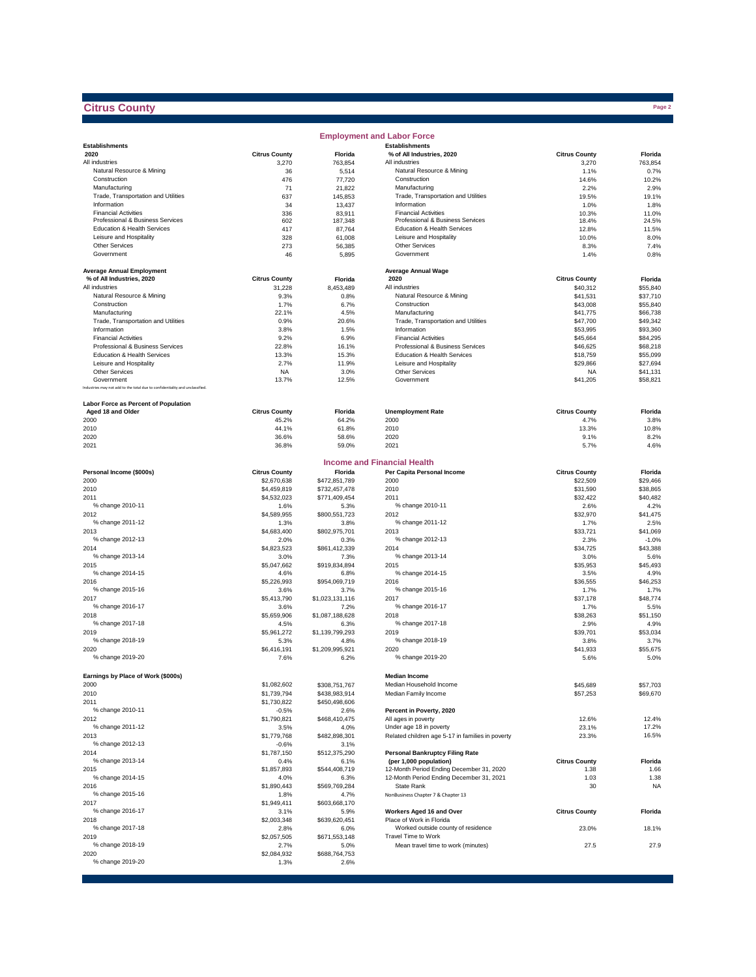## **Citrus County**

|                                                                              |                        |                         | <b>Employment and Labor Force</b>                                           |                      |                      |
|------------------------------------------------------------------------------|------------------------|-------------------------|-----------------------------------------------------------------------------|----------------------|----------------------|
| <b>Establishments</b>                                                        |                        |                         | <b>Establishments</b>                                                       |                      |                      |
| 2020                                                                         | <b>Citrus County</b>   | Florida                 | % of All Industries, 2020                                                   | <b>Citrus County</b> | Florida              |
| All industries<br>Natural Resource & Mining                                  | 3,270<br>36            | 763,854<br>5,514        | All industries<br>Natural Resource & Mining                                 | 3,270<br>1.1%        | 763,854<br>0.7%      |
| Construction                                                                 | 476                    | 77,720                  | Construction                                                                | 14.6%                | 10.2%                |
| Manufacturing                                                                | 71                     | 21,822                  | Manufacturing                                                               | 2.2%                 | 2.9%                 |
| Trade, Transportation and Utilities                                          | 637                    | 145,853                 | Trade, Transportation and Utilities                                         | 19.5%                | 19.1%                |
| Information                                                                  | 34                     | 13,437                  | Information                                                                 | 1.0%                 | 1.8%                 |
| <b>Financial Activities</b>                                                  | 336                    | 83,911                  | <b>Financial Activities</b>                                                 | 10.3%                | 11.0%                |
| Professional & Business Services<br>Education & Health Services              | 602<br>417             | 187,348<br>87,764       | Professional & Business Services<br>Education & Health Services             | 18.4%<br>12.8%       | 24.5%<br>11.5%       |
| Leisure and Hospitality                                                      | 328                    | 61,008                  | Leisure and Hospitality                                                     | 10.0%                | 8.0%                 |
| <b>Other Services</b>                                                        | 273                    | 56,385                  | Other Services                                                              | 8.3%                 | 7.4%                 |
| Government                                                                   | 46                     | 5,895                   | Government                                                                  | 1.4%                 | 0.8%                 |
|                                                                              |                        |                         |                                                                             |                      |                      |
| <b>Average Annual Employment</b>                                             |                        |                         | <b>Average Annual Wage</b>                                                  |                      |                      |
| % of All Industries, 2020<br>All industries                                  | <b>Citrus County</b>   | Florida                 | 2020<br>All industries                                                      | <b>Citrus County</b> | Florida              |
| Natural Resource & Mining                                                    | 31,228<br>9.3%         | 8,453,489<br>0.8%       | Natural Resource & Mining                                                   | \$40,312<br>\$41,531 | \$55,840<br>\$37,710 |
| Construction                                                                 | 1.7%                   | 6.7%                    | Construction                                                                | \$43,008             | \$55,840             |
| Manufacturing                                                                | 22.1%                  | 4.5%                    | Manufacturing                                                               | \$41,775             | \$66,738             |
| Trade, Transportation and Utilities                                          | 0.9%                   | 20.6%                   | Trade, Transportation and Utilities                                         | \$47,700             | \$49,342             |
| Information                                                                  | 3.8%                   | 1.5%                    | Information                                                                 | \$53,995             | \$93,360             |
| <b>Financial Activities</b>                                                  | 9.2%                   | 6.9%                    | <b>Financial Activities</b>                                                 | \$45,664             | \$84,295             |
| Professional & Business Services                                             | 22.8%                  | 16.1%                   | Professional & Business Services                                            | \$46,625             | \$68,218             |
| Education & Health Services<br>Leisure and Hospitality                       | 13.3%<br>2.7%          | 15.3%<br>11.9%          | Education & Health Services<br>Leisure and Hospitality                      | \$18,759<br>\$29,866 | \$55,099<br>\$27,694 |
| <b>Other Services</b>                                                        | <b>NA</b>              | 3.0%                    | Other Services                                                              | <b>NA</b>            | \$41.131             |
| Government                                                                   | 13.7%                  | 12.5%                   | Government                                                                  | \$41,205             | \$58,821             |
| Industries may not add to the total due to confidentiality and unclassified. |                        |                         |                                                                             |                      |                      |
|                                                                              |                        |                         |                                                                             |                      |                      |
| <b>Labor Force as Percent of Population</b><br>Aged 18 and Older             | <b>Citrus County</b>   | Florida                 | <b>Unemployment Rate</b>                                                    | <b>Citrus County</b> | Florida              |
| 2000                                                                         | 45.2%                  | 64.2%                   | 2000                                                                        | 4.7%                 | 3.8%                 |
| 2010                                                                         | 44.1%                  | 61.8%                   | 2010                                                                        | 13.3%                | 10.8%                |
| 2020                                                                         | 36.6%                  | 58.6%                   | 2020                                                                        | 9.1%                 | 8.2%                 |
| 2021                                                                         | 36.8%                  | 59.0%                   | 2021                                                                        | 5.7%                 | 4.6%                 |
|                                                                              |                        |                         |                                                                             |                      |                      |
|                                                                              |                        |                         | <b>Income and Financial Health</b>                                          |                      |                      |
| Personal Income (\$000s)                                                     | <b>Citrus County</b>   | Florida                 | Per Capita Personal Income                                                  | <b>Citrus County</b> | Florida              |
| 2000                                                                         | \$2,670,638            | \$472,851,789           | 2000                                                                        | \$22,509             | \$29,466             |
| 2010                                                                         | \$4,459,819            | \$732,457,478           | 2010                                                                        | \$31,590             | \$38,865             |
| 2011<br>% change 2010-11                                                     | \$4,532,023<br>1.6%    | \$771,409,454<br>5.3%   | 2011<br>% change 2010-11                                                    | \$32,422<br>2.6%     | \$40,482<br>4.2%     |
| 2012                                                                         | \$4,589,955            | \$800,551,723           | 2012                                                                        | \$32,970             | \$41,475             |
| % change 2011-12                                                             | 1.3%                   | 3.8%                    | % change 2011-12                                                            | 1.7%                 | 2.5%                 |
| 2013                                                                         | \$4,683,400            | \$802,975,701           | 2013                                                                        | \$33,721             | \$41,069             |
| % change 2012-13                                                             | 2.0%                   | 0.3%                    | % change 2012-13                                                            | 2.3%                 | $-1.0%$              |
| 2014                                                                         | \$4,823,523            | \$861,412,339           | 2014                                                                        | \$34,725             | \$43,388             |
| % change 2013-14                                                             | 3.0%                   | 7.3%                    | % change 2013-14                                                            | 3.0%                 | 5.6%                 |
| 2015<br>% change 2014-15                                                     | \$5,047,662<br>4.6%    | \$919,834,894<br>6.8%   | 2015<br>% change 2014-15                                                    | \$35,953<br>3.5%     | \$45,493<br>4.9%     |
| 2016                                                                         | \$5,226,993            | \$954,069,719           | 2016                                                                        | \$36,555             | \$46,253             |
| % change 2015-16                                                             | 3.6%                   | 3.7%                    | % change 2015-16                                                            | 1.7%                 | 1.7%                 |
| 2017                                                                         | \$5,413,790            | \$1,023,131,116         | 2017                                                                        | \$37,178             | \$48,774             |
| % change 2016-17                                                             | 3.6%                   | 7.2%                    | % change 2016-17                                                            | 1.7%                 | 5.5%                 |
| 2018                                                                         | \$5,659,906            | \$1,087,188,628         | 2018                                                                        | \$38,263             | \$51,150             |
| % change 2017-18                                                             | 4.5%                   | 6.3%                    | % change 2017-18                                                            | 2.9%                 | 4.9%                 |
| 2019<br>% change 2018-19                                                     | \$5,961,272            | \$1,139,799,293         | 2019                                                                        | \$39,701             | \$53,034             |
| 2020                                                                         | 5.3%<br>\$6,416.191    | 4.8%<br>\$1,209,995,921 | % change 2018-19<br>2020                                                    | 3.8%<br>\$41,933     | 3.7%<br>\$55,675     |
| % change 2019-20                                                             | 7.6%                   | 6.2%                    | % change 2019-20                                                            | 5.6%                 | 5.0%                 |
|                                                                              |                        |                         |                                                                             |                      |                      |
| Earnings by Place of Work (\$000s)                                           |                        |                         | <b>Median Income</b>                                                        |                      |                      |
| 2000                                                                         | \$1,082,602            | \$308,751,767           | Median Household Income                                                     | \$45,689             | \$57,703             |
| 2010                                                                         | \$1,739,794            | \$438,983,914           | Median Family Income                                                        | \$57,253             | \$69,670             |
| 2011                                                                         | \$1,730,822            | \$450,498,606           |                                                                             |                      |                      |
| % change 2010-11                                                             | $-0.5%$                | 2.6%                    | Percent in Poverty, 2020                                                    |                      |                      |
| 2012                                                                         | \$1,790,821            | \$468,410,475           | All ages in poverty                                                         | 12.6%                | 12.4%                |
| % change 2011-12<br>2013                                                     | 3.5%                   | 4.0%                    | Under age 18 in poverty<br>Related children age 5-17 in families in poverty | 23.1%<br>23.3%       | 17.2%<br>16.5%       |
| % change 2012-13                                                             | \$1,779,768<br>$-0.6%$ | \$482,898,301<br>3.1%   |                                                                             |                      |                      |
| 2014                                                                         | \$1,787,150            | \$512,375,290           | <b>Personal Bankruptcy Filing Rate</b>                                      |                      |                      |
| % change 2013-14                                                             | 0.4%                   | 6.1%                    | (per 1,000 population)                                                      | <b>Citrus County</b> | Florida              |
| 2015                                                                         | \$1,857,893            | \$544,408,719           | 12-Month Period Ending December 31, 2020                                    | 1.38                 | 1.66                 |
| % change 2014-15                                                             | 4.0%                   | 6.3%                    | 12-Month Period Ending December 31, 2021                                    | 1.03                 | 1.38                 |
| 2016                                                                         | \$1,890,443            | \$569,769,284           | <b>State Rank</b>                                                           | 30                   | <b>NA</b>            |
| % change 2015-16                                                             | 1.8%                   | 4.7%                    | NonBusiness Chapter 7 & Chapter 13                                          |                      |                      |
| 2017<br>% change 2016-17                                                     | \$1,949,411            | \$603,668,170           | Workers Aged 16 and Over                                                    | <b>Citrus County</b> |                      |
| 2018                                                                         | 3.1%<br>\$2,003,348    | 5.9%<br>\$639,620,451   | Place of Work in Florida                                                    |                      | Florida              |
| % change 2017-18                                                             | 2.8%                   | 6.0%                    | Worked outside county of residence                                          | 23.0%                | 18.1%                |
| 2019                                                                         | \$2,057,505            | \$671,553,148           | Travel Time to Work                                                         |                      |                      |
| % change 2018-19                                                             | 2.7%                   | 5.0%                    | Mean travel time to work (minutes)                                          | 27.5                 | 27.9                 |
| 2020                                                                         | \$2,084,932            | \$688,764,753           |                                                                             |                      |                      |
| % change 2019-20                                                             | 1.3%                   | 2.6%                    |                                                                             |                      |                      |